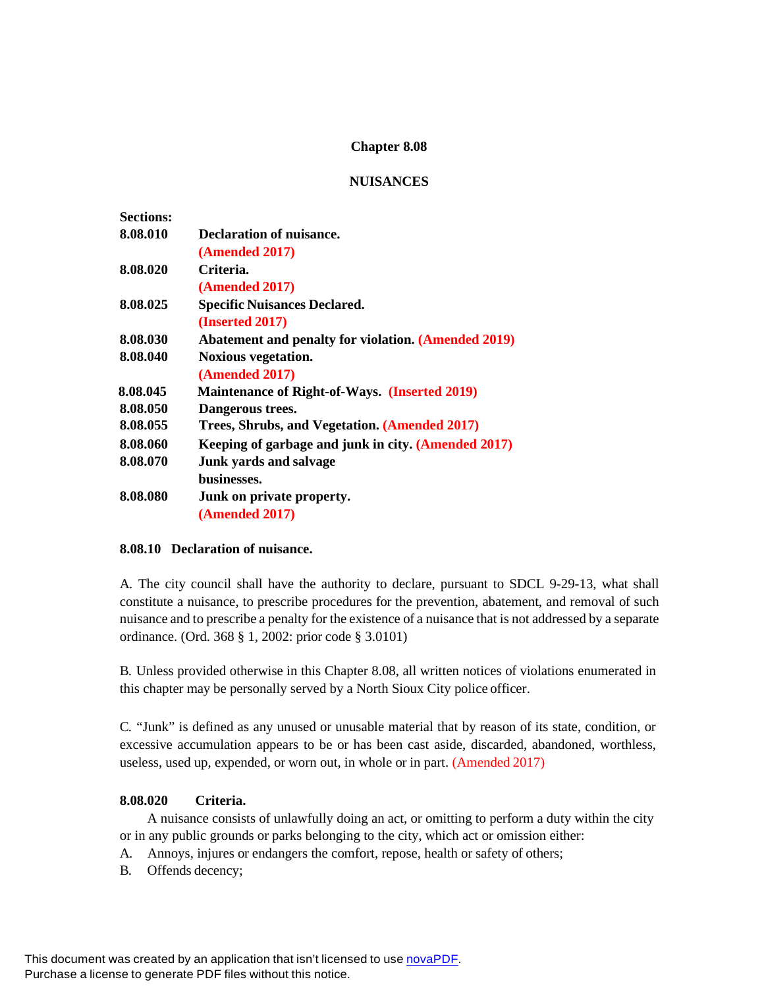# **Chapter 8.08**

## **NUISANCES**

| <b>Sections:</b> |                                                            |
|------------------|------------------------------------------------------------|
| 8.08.010         | Declaration of nuisance.                                   |
|                  | (Amended 2017)                                             |
| 8.08.020         | Criteria.                                                  |
|                  | (Amended 2017)                                             |
| 8.08.025         | <b>Specific Nuisances Declared.</b>                        |
|                  | (Inserted 2017)                                            |
| 8.08.030         | <b>Abatement and penalty for violation. (Amended 2019)</b> |
| 8.08.040         | <b>Noxious vegetation.</b>                                 |
|                  | (Amended 2017)                                             |
| 8.08.045         | <b>Maintenance of Right-of-Ways. (Inserted 2019)</b>       |
| 8.08.050         | Dangerous trees.                                           |
| 8.08.055         | Trees, Shrubs, and Vegetation. (Amended 2017)              |
| 8.08.060         | Keeping of garbage and junk in city. (Amended 2017)        |
| 8.08.070         | Junk yards and salvage                                     |
|                  | businesses.                                                |
| 8.08.080         | Junk on private property.                                  |
|                  | (Amended 2017)                                             |

## **8.08.10 Declaration of nuisance.**

A. The city council shall have the authority to declare, pursuant to SDCL 9-29-13, what shall constitute a nuisance, to prescribe procedures for the prevention, abatement, and removal of such nuisance and to prescribe a penalty for the existence of a nuisance that is not addressed by a separate ordinance. (Ord. 368 § 1, 2002: prior code § 3.0101)

B. Unless provided otherwise in this Chapter 8.08, all written notices of violations enumerated in this chapter may be personally served by a North Sioux City police officer.

C. "Junk" is defined as any unused or unusable material that by reason of its state, condition, or excessive accumulation appears to be or has been cast aside, discarded, abandoned, worthless, useless, used up, expended, or worn out, in whole or in part. (Amended 2017)

# **8.08.020 Criteria.**

A nuisance consists of unlawfully doing an act, or omitting to perform a duty within the city or in any public grounds or parks belonging to the city, which act or omission either:

- A. Annoys, injures or endangers the comfort, repose, health or safety of others;
- B. Offends decency;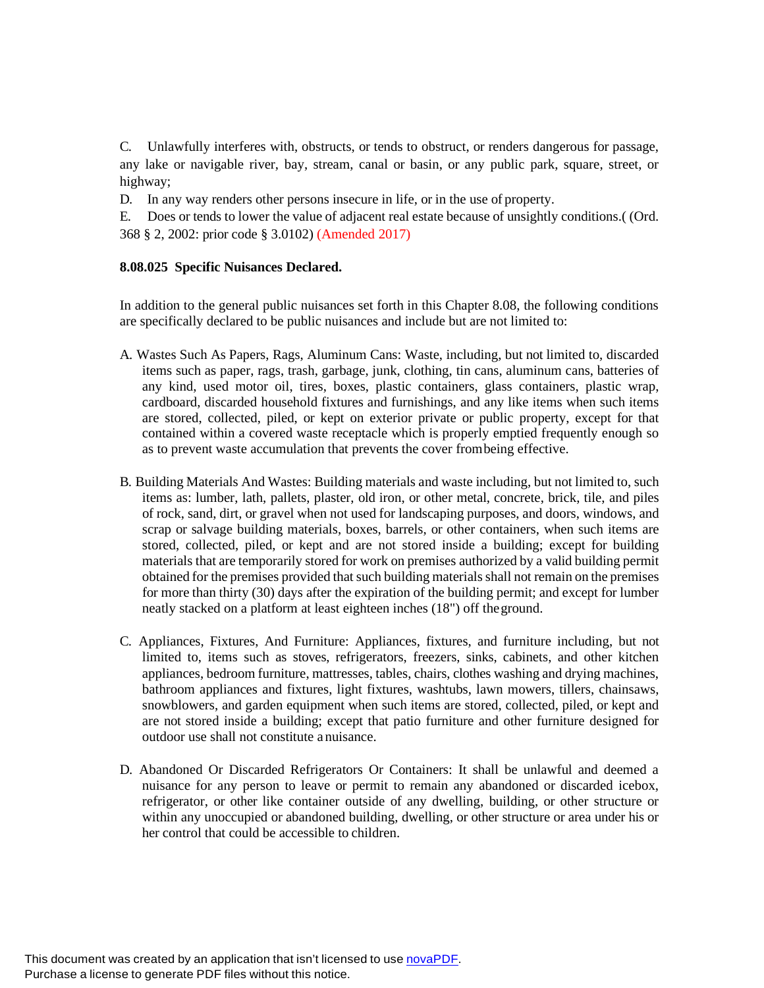C. Unlawfully interferes with, obstructs, or tends to obstruct, or renders dangerous for passage, any lake or navigable river, bay, stream, canal or basin, or any public park, square, street, or highway;

D. In any way renders other persons insecure in life, or in the use of property.

E. Does or tends to lower the value of adjacent real estate because of unsightly conditions.( (Ord. 368 § 2, 2002: prior code § 3.0102) (Amended 2017)

## **8.08.025 Specific Nuisances Declared.**

In addition to the general public nuisances set forth in this Chapter 8.08, the following conditions are specifically declared to be public nuisances and include but are not limited to:

- A. Wastes Such As Papers, Rags, Aluminum Cans: Waste, including, but not limited to, discarded items such as paper, rags, trash, garbage, junk, clothing, tin cans, aluminum cans, batteries of any kind, used motor oil, tires, boxes, plastic containers, glass containers, plastic wrap, cardboard, discarded household fixtures and furnishings, and any like items when such items are stored, collected, piled, or kept on exterior private or public property, except for that contained within a covered waste receptacle which is properly emptied frequently enough so as to prevent waste accumulation that prevents the cover frombeing effective.
- B. Building Materials And Wastes: Building materials and waste including, but not limited to, such items as: lumber, lath, pallets, plaster, old iron, or other metal, concrete, brick, tile, and piles of rock, sand, dirt, or gravel when not used for landscaping purposes, and doors, windows, and scrap or salvage building materials, boxes, barrels, or other containers, when such items are stored, collected, piled, or kept and are not stored inside a building; except for building materials that are temporarily stored for work on premises authorized by a valid building permit obtained for the premises provided that such building materials shall not remain on the premises for more than thirty (30) days after the expiration of the building permit; and except for lumber neatly stacked on a platform at least eighteen inches (18") off theground.
- C. Appliances, Fixtures, And Furniture: Appliances, fixtures, and furniture including, but not limited to, items such as stoves, refrigerators, freezers, sinks, cabinets, and other kitchen appliances, bedroom furniture, mattresses, tables, chairs, clothes washing and drying machines, bathroom appliances and fixtures, light fixtures, washtubs, lawn mowers, tillers, chainsaws, snowblowers, and garden equipment when such items are stored, collected, piled, or kept and are not stored inside a building; except that patio furniture and other furniture designed for outdoor use shall not constitute a nuisance.
- D. Abandoned Or Discarded Refrigerators Or Containers: It shall be unlawful and deemed a nuisance for any person to leave or permit to remain any abandoned or discarded icebox, refrigerator, or other like container outside of any dwelling, building, or other structure or within any unoccupied or abandoned building, dwelling, or other structure or area under his or her control that could be accessible to children.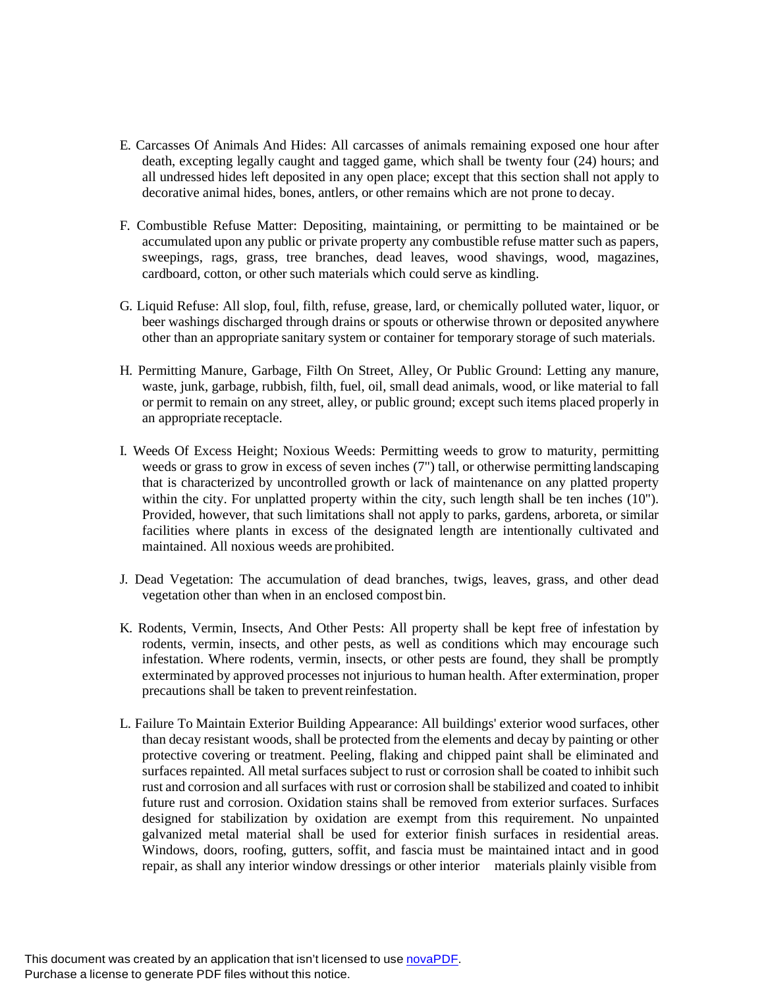- E. Carcasses Of Animals And Hides: All carcasses of animals remaining exposed one hour after death, excepting legally caught and tagged game, which shall be twenty four (24) hours; and all undressed hides left deposited in any open place; except that this section shall not apply to decorative animal hides, bones, antlers, or other remains which are not prone to decay.
- F. Combustible Refuse Matter: Depositing, maintaining, or permitting to be maintained or be accumulated upon any public or private property any combustible refuse matter such as papers, sweepings, rags, grass, tree branches, dead leaves, wood shavings, wood, magazines, cardboard, cotton, or other such materials which could serve as kindling.
- G. Liquid Refuse: All slop, foul, filth, refuse, grease, lard, or chemically polluted water, liquor, or beer washings discharged through drains or spouts or otherwise thrown or deposited anywhere other than an appropriate sanitary system or container for temporary storage of such materials.
- H. Permitting Manure, Garbage, Filth On Street, Alley, Or Public Ground: Letting any manure, waste, junk, garbage, rubbish, filth, fuel, oil, small dead animals, wood, or like material to fall or permit to remain on any street, alley, or public ground; except such items placed properly in an appropriate receptacle.
- I. Weeds Of Excess Height; Noxious Weeds: Permitting weeds to grow to maturity, permitting weeds or grass to grow in excess of seven inches (7") tall, or otherwise permitting landscaping that is characterized by uncontrolled growth or lack of maintenance on any platted property within the city. For unplatted property within the city, such length shall be ten inches (10"). Provided, however, that such limitations shall not apply to parks, gardens, arboreta, or similar facilities where plants in excess of the designated length are intentionally cultivated and maintained. All noxious weeds are prohibited.
- J. Dead Vegetation: The accumulation of dead branches, twigs, leaves, grass, and other dead vegetation other than when in an enclosed compost bin.
- K. Rodents, Vermin, Insects, And Other Pests: All property shall be kept free of infestation by rodents, vermin, insects, and other pests, as well as conditions which may encourage such infestation. Where rodents, vermin, insects, or other pests are found, they shall be promptly exterminated by approved processes not injurious to human health. After extermination, proper precautions shall be taken to prevent reinfestation.
- L. Failure To Maintain Exterior Building Appearance: All buildings' exterior wood surfaces, other than decay resistant woods, shall be protected from the elements and decay by painting or other protective covering or treatment. Peeling, flaking and chipped paint shall be eliminated and surfaces repainted. All metal surfaces subject to rust or corrosion shall be coated to inhibit such rust and corrosion and all surfaces with rust or corrosion shall be stabilized and coated to inhibit future rust and corrosion. Oxidation stains shall be removed from exterior surfaces. Surfaces designed for stabilization by oxidation are exempt from this requirement. No unpainted galvanized metal material shall be used for exterior finish surfaces in residential areas. Windows, doors, roofing, gutters, soffit, and fascia must be maintained intact and in good repair, as shall any interior window dressings or other interior materials plainly visible from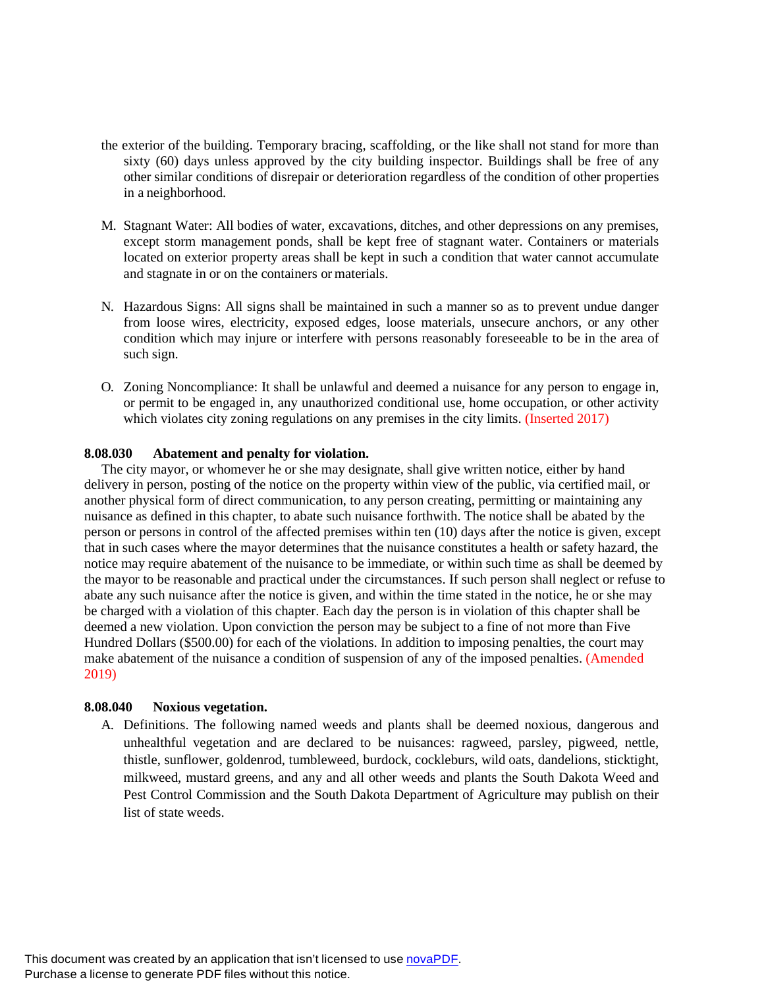- the exterior of the building. Temporary bracing, scaffolding, or the like shall not stand for more than sixty (60) days unless approved by the city building inspector. Buildings shall be free of any other similar conditions of disrepair or deterioration regardless of the condition of other properties in a neighborhood.
- M. Stagnant Water: All bodies of water, excavations, ditches, and other depressions on any premises, except storm management ponds, shall be kept free of stagnant water. Containers or materials located on exterior property areas shall be kept in such a condition that water cannot accumulate and stagnate in or on the containers or materials.
- N. Hazardous Signs: All signs shall be maintained in such a manner so as to prevent undue danger from loose wires, electricity, exposed edges, loose materials, unsecure anchors, or any other condition which may injure or interfere with persons reasonably foreseeable to be in the area of such sign.
- O. Zoning Noncompliance: It shall be unlawful and deemed a nuisance for any person to engage in, or permit to be engaged in, any unauthorized conditional use, home occupation, or other activity which violates city zoning regulations on any premises in the city limits. (Inserted 2017)

## **8.08.030 Abatement and penalty for violation.**

 The city mayor, or whomever he or she may designate, shall give written notice, either by hand delivery in person, posting of the notice on the property within view of the public, via certified mail, or another physical form of direct communication, to any person creating, permitting or maintaining any nuisance as defined in this chapter, to abate such nuisance forthwith. The notice shall be abated by the person or persons in control of the affected premises within ten (10) days after the notice is given, except that in such cases where the mayor determines that the nuisance constitutes a health or safety hazard, the notice may require abatement of the nuisance to be immediate, or within such time as shall be deemed by the mayor to be reasonable and practical under the circumstances. If such person shall neglect or refuse to abate any such nuisance after the notice is given, and within the time stated in the notice, he or she may be charged with a violation of this chapter. Each day the person is in violation of this chapter shall be deemed a new violation. Upon conviction the person may be subject to a fine of not more than Five Hundred Dollars (\$500.00) for each of the violations. In addition to imposing penalties, the court may make abatement of the nuisance a condition of suspension of any of the imposed penalties. (Amended 2019)

### **8.08.040 Noxious vegetation.**

A. Definitions. The following named weeds and plants shall be deemed noxious, dangerous and unhealthful vegetation and are declared to be nuisances: ragweed, parsley, pigweed, nettle, thistle, sunflower, goldenrod, tumbleweed, burdock, cockleburs, wild oats, dandelions, sticktight, milkweed, mustard greens, and any and all other weeds and plants the South Dakota Weed and Pest Control Commission and the South Dakota Department of Agriculture may publish on their list of state weeds.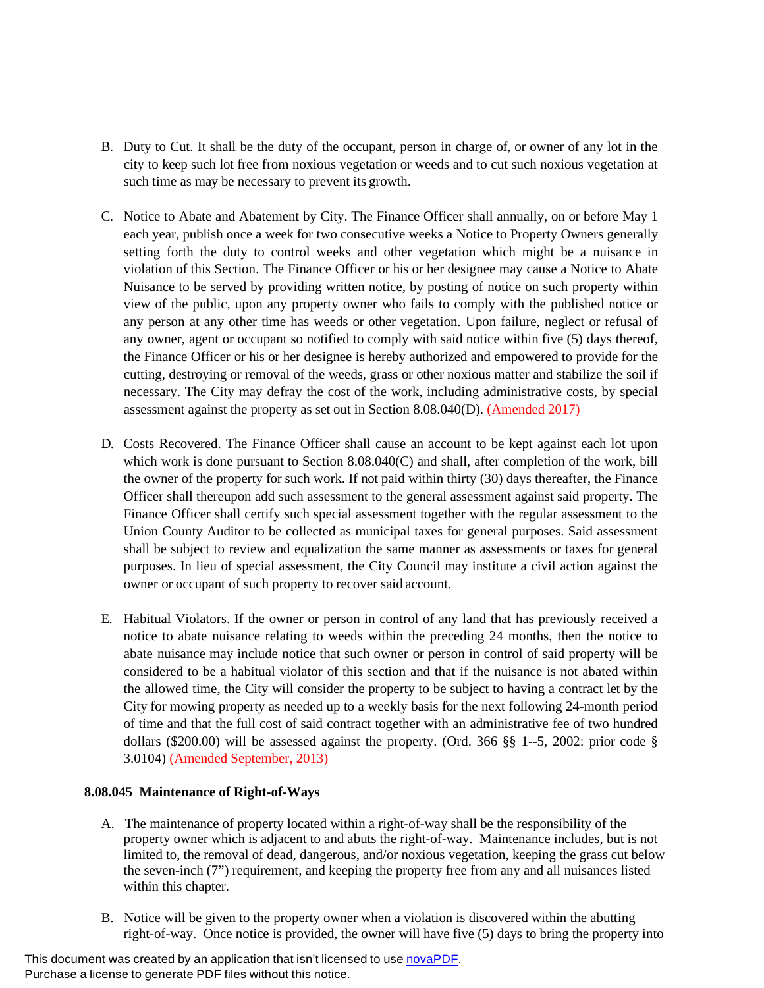- B. Duty to Cut. It shall be the duty of the occupant, person in charge of, or owner of any lot in the city to keep such lot free from noxious vegetation or weeds and to cut such noxious vegetation at such time as may be necessary to prevent its growth.
- C. Notice to Abate and Abatement by City. The Finance Officer shall annually, on or before May 1 each year, publish once a week for two consecutive weeks a Notice to Property Owners generally setting forth the duty to control weeks and other vegetation which might be a nuisance in violation of this Section. The Finance Officer or his or her designee may cause a Notice to Abate Nuisance to be served by providing written notice, by posting of notice on such property within view of the public, upon any property owner who fails to comply with the published notice or any person at any other time has weeds or other vegetation. Upon failure, neglect or refusal of any owner, agent or occupant so notified to comply with said notice within five (5) days thereof, the Finance Officer or his or her designee is hereby authorized and empowered to provide for the cutting, destroying or removal of the weeds, grass or other noxious matter and stabilize the soil if necessary. The City may defray the cost of the work, including administrative costs, by special assessment against the property as set out in Section 8.08.040(D). (Amended 2017)
- D. Costs Recovered. The Finance Officer shall cause an account to be kept against each lot upon which work is done pursuant to Section 8.08.040(C) and shall, after completion of the work, bill the owner of the property for such work. If not paid within thirty (30) days thereafter, the Finance Officer shall thereupon add such assessment to the general assessment against said property. The Finance Officer shall certify such special assessment together with the regular assessment to the Union County Auditor to be collected as municipal taxes for general purposes. Said assessment shall be subject to review and equalization the same manner as assessments or taxes for general purposes. In lieu of special assessment, the City Council may institute a civil action against the owner or occupant of such property to recover said account.
- E. Habitual Violators. If the owner or person in control of any land that has previously received a notice to abate nuisance relating to weeds within the preceding 24 months, then the notice to abate nuisance may include notice that such owner or person in control of said property will be considered to be a habitual violator of this section and that if the nuisance is not abated within the allowed time, the City will consider the property to be subject to having a contract let by the City for mowing property as needed up to a weekly basis for the next following 24-month period of time and that the full cost of said contract together with an administrative fee of two hundred dollars (\$200.00) will be assessed against the property. (Ord. 366 §§ 1--5, 2002: prior code § 3.0104) (Amended September, 2013)

### **8.08.045 Maintenance of Right-of-Ways**

- A. The maintenance of property located within a right-of-way shall be the responsibility of the property owner which is adjacent to and abuts the right-of-way. Maintenance includes, but is not limited to, the removal of dead, dangerous, and/or noxious vegetation, keeping the grass cut below the seven-inch (7") requirement, and keeping the property free from any and all nuisances listed within this chapter.
- B. Notice will be given to the property owner when a violation is discovered within the abutting right-of-way. Once notice is provided, the owner will have five (5) days to bring the property into

This document was created by an application that isn't licensed to use [novaPDF.](http://www.novapdf.com/) Purchase a license to generate PDF files without this notice.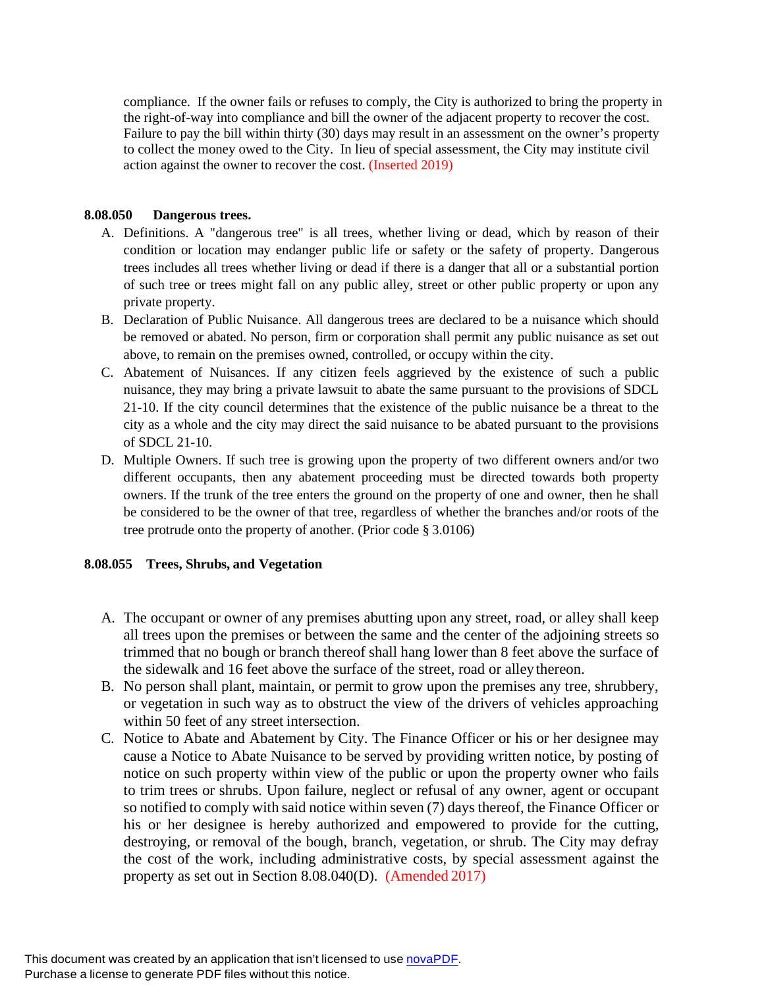compliance. If the owner fails or refuses to comply, the City is authorized to bring the property in the right-of-way into compliance and bill the owner of the adjacent property to recover the cost. Failure to pay the bill within thirty (30) days may result in an assessment on the owner's property to collect the money owed to the City. In lieu of special assessment, the City may institute civil action against the owner to recover the cost. (Inserted 2019)

# **8.08.050 Dangerous trees.**

- A. Definitions. A "dangerous tree" is all trees, whether living or dead, which by reason of their condition or location may endanger public life or safety or the safety of property. Dangerous trees includes all trees whether living or dead if there is a danger that all or a substantial portion of such tree or trees might fall on any public alley, street or other public property or upon any private property.
- B. Declaration of Public Nuisance. All dangerous trees are declared to be a nuisance which should be removed or abated. No person, firm or corporation shall permit any public nuisance as set out above, to remain on the premises owned, controlled, or occupy within the city.
- C. Abatement of Nuisances. If any citizen feels aggrieved by the existence of such a public nuisance, they may bring a private lawsuit to abate the same pursuant to the provisions of SDCL 21-10. If the city council determines that the existence of the public nuisance be a threat to the city as a whole and the city may direct the said nuisance to be abated pursuant to the provisions of SDCL 21-10.
- D. Multiple Owners. If such tree is growing upon the property of two different owners and/or two different occupants, then any abatement proceeding must be directed towards both property owners. If the trunk of the tree enters the ground on the property of one and owner, then he shall be considered to be the owner of that tree, regardless of whether the branches and/or roots of the tree protrude onto the property of another. (Prior code § 3.0106)

# **8.08.055 Trees, Shrubs, and Vegetation**

- A. The occupant or owner of any premises abutting upon any street, road, or alley shall keep all trees upon the premises or between the same and the center of the adjoining streets so trimmed that no bough or branch thereof shall hang lower than 8 feet above the surface of the sidewalk and 16 feet above the surface of the street, road or alley thereon.
- B. No person shall plant, maintain, or permit to grow upon the premises any tree, shrubbery, or vegetation in such way as to obstruct the view of the drivers of vehicles approaching within 50 feet of any street intersection.
- C. Notice to Abate and Abatement by City. The Finance Officer or his or her designee may cause a Notice to Abate Nuisance to be served by providing written notice, by posting of notice on such property within view of the public or upon the property owner who fails to trim trees or shrubs. Upon failure, neglect or refusal of any owner, agent or occupant so notified to comply with said notice within seven (7) days thereof, the Finance Officer or his or her designee is hereby authorized and empowered to provide for the cutting, destroying, or removal of the bough, branch, vegetation, or shrub. The City may defray the cost of the work, including administrative costs, by special assessment against the property as set out in Section 8.08.040(D). (Amended 2017)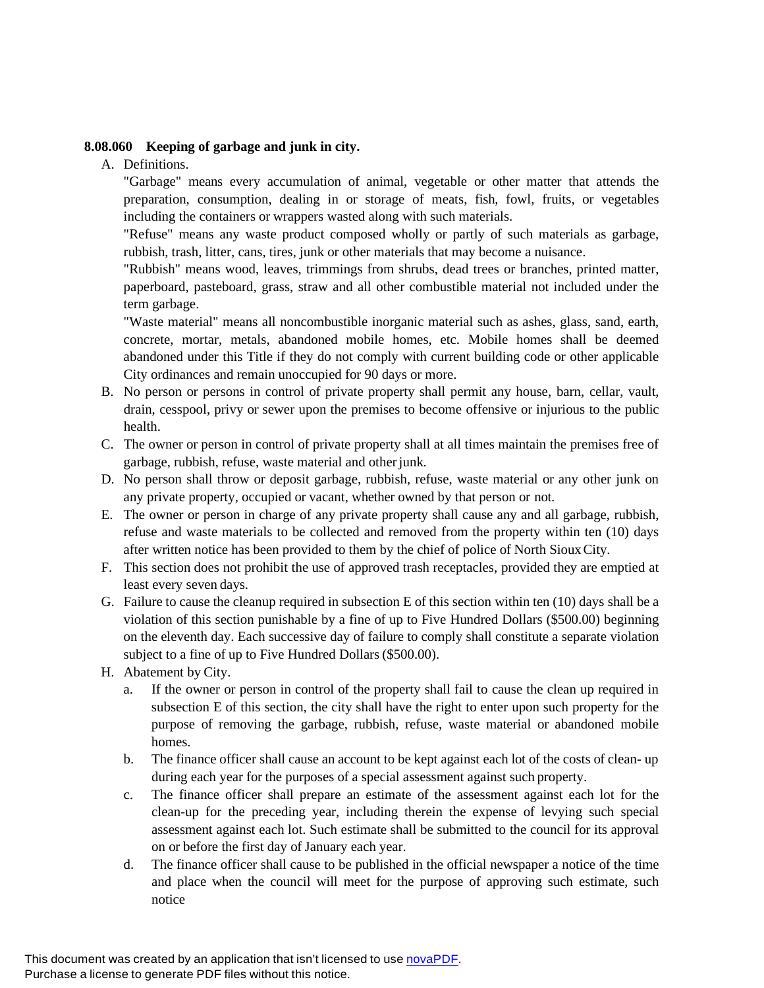# **8.08.060 Keeping of garbage and junk in city.**

A. Definitions.

"Garbage" means every accumulation of animal, vegetable or other matter that attends the preparation, consumption, dealing in or storage of meats, fish, fowl, fruits, or vegetables including the containers or wrappers wasted along with such materials.

"Refuse" means any waste product composed wholly or partly of such materials as garbage, rubbish, trash, litter, cans, tires, junk or other materials that may become a nuisance.

"Rubbish" means wood, leaves, trimmings from shrubs, dead trees or branches, printed matter, paperboard, pasteboard, grass, straw and all other combustible material not included under the term garbage.

"Waste material" means all noncombustible inorganic material such as ashes, glass, sand, earth, concrete, mortar, metals, abandoned mobile homes, etc. Mobile homes shall be deemed abandoned under this Title if they do not comply with current building code or other applicable City ordinances and remain unoccupied for 90 days or more.

- B. No person or persons in control of private property shall permit any house, barn, cellar, vault, drain, cesspool, privy or sewer upon the premises to become offensive or injurious to the public health.
- C. The owner or person in control of private property shall at all times maintain the premises free of garbage, rubbish, refuse, waste material and other junk.
- D. No person shall throw or deposit garbage, rubbish, refuse, waste material or any other junk on any private property, occupied or vacant, whether owned by that person or not.
- E. The owner or person in charge of any private property shall cause any and all garbage, rubbish, refuse and waste materials to be collected and removed from the property within ten (10) days after written notice has been provided to them by the chief of police of North SiouxCity.
- F. This section does not prohibit the use of approved trash receptacles, provided they are emptied at least every seven days.
- G. Failure to cause the cleanup required in subsection E of this section within ten (10) days shall be a violation of this section punishable by a fine of up to Five Hundred Dollars (\$500.00) beginning on the eleventh day. Each successive day of failure to comply shall constitute a separate violation subject to a fine of up to Five Hundred Dollars (\$500.00).
- H. Abatement by City.
	- a. If the owner or person in control of the property shall fail to cause the clean up required in subsection E of this section, the city shall have the right to enter upon such property for the purpose of removing the garbage, rubbish, refuse, waste material or abandoned mobile homes.
	- b. The finance officer shall cause an account to be kept against each lot of the costs of clean- up during each year for the purposes of a special assessment against such property.
	- c. The finance officer shall prepare an estimate of the assessment against each lot for the clean-up for the preceding year, including therein the expense of levying such special assessment against each lot. Such estimate shall be submitted to the council for its approval on or before the first day of January each year.
	- d. The finance officer shall cause to be published in the official newspaper a notice of the time and place when the council will meet for the purpose of approving such estimate, such notice